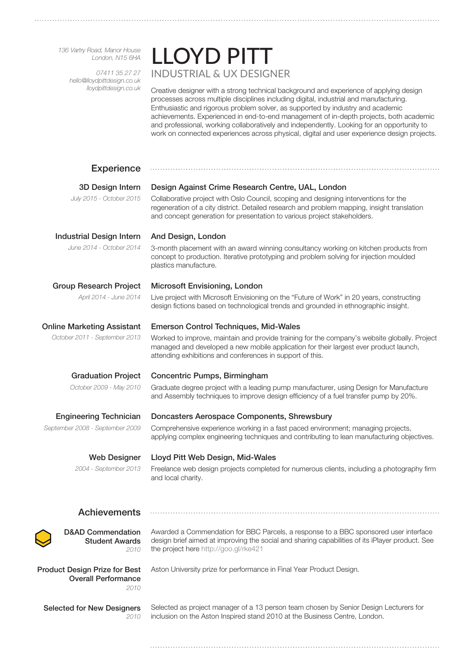*136 Vartry Road, Manor House London, N15 6HA*

> *07411 35 27 27 hello@lloydpittdesign.co.uk lloydpittdesign.co.uk*

## LLOYD PITT INDUSTRIAL & UX DESIGNER

Creative designer with a strong technical background and experience of applying design processes across multiple disciplines including digital, industrial and manufacturing. Enthusiastic and rigorous problem solver, as supported by industry and academic achievements. Experienced in end-to-end management of in-depth projects, both academic and professional, working collaboratively and independently. Looking for an opportunity to work on connected experiences across physical, digital and user experience design projects.

| <b>Experience</b>                                                          |                                                                                                                                                                                                                                                                 |
|----------------------------------------------------------------------------|-----------------------------------------------------------------------------------------------------------------------------------------------------------------------------------------------------------------------------------------------------------------|
| 3D Design Intern                                                           | Design Against Crime Research Centre, UAL, London                                                                                                                                                                                                               |
| July 2015 - October 2015                                                   | Collaborative project with Oslo Council, scoping and designing interventions for the<br>regeneration of a city district. Detailed research and problem mapping, insight translation<br>and concept generation for presentation to various project stakeholders. |
| <b>Industrial Design Intern</b>                                            | And Design, London                                                                                                                                                                                                                                              |
| June 2014 - October 2014                                                   | 3-month placement with an award winning consultancy working on kitchen products from<br>concept to production. Iterative prototyping and problem solving for injection moulded<br>plastics manufacture.                                                         |
| <b>Group Research Project</b>                                              | Microsoft Envisioning, London                                                                                                                                                                                                                                   |
| April 2014 - June 2014                                                     | Live project with Microsoft Envisioning on the "Future of Work" in 20 years, constructing<br>design fictions based on technological trends and grounded in ethnographic insight.                                                                                |
| <b>Online Marketing Assistant</b>                                          | <b>Emerson Control Techniques, Mid-Wales</b>                                                                                                                                                                                                                    |
| October 2011 - September 2013                                              | Worked to improve, maintain and provide training for the company's website globally. Project<br>managed and developed a new mobile application for their largest ever product launch,<br>attending exhibitions and conferences in support of this.              |
| <b>Graduation Project</b>                                                  | Concentric Pumps, Birmingham                                                                                                                                                                                                                                    |
| October 2009 - May 2010                                                    | Graduate degree project with a leading pump manufacturer, using Design for Manufacture<br>and Assembly techniques to improve design efficiency of a fuel transfer pump by 20%.                                                                                  |
| <b>Engineering Technician</b>                                              | Doncasters Aerospace Components, Shrewsbury                                                                                                                                                                                                                     |
| September 2008 - September 2009                                            | Comprehensive experience working in a fast paced environment; managing projects,<br>applying complex engineering techniques and contributing to lean manufacturing objectives.                                                                                  |
| <b>Web Designer</b>                                                        | Lloyd Pitt Web Design, Mid-Wales                                                                                                                                                                                                                                |
| 2004 - September 2013                                                      | Freelance web design projects completed for numerous clients, including a photography firm<br>and local charity.                                                                                                                                                |
| <b>Achievements</b>                                                        |                                                                                                                                                                                                                                                                 |
| <b>D&amp;AD Commendation</b><br><b>Student Awards</b><br>2010              | Awarded a Commendation for BBC Parcels, a response to a BBC sponsored user interface<br>design brief aimed at improving the social and sharing capabilities of its iPlayer product. See<br>the project here http://goo.gl/rke421                                |
| <b>Product Design Prize for Best</b><br><b>Overall Performance</b><br>2010 | Aston University prize for performance in Final Year Product Design.                                                                                                                                                                                            |
|                                                                            |                                                                                                                                                                                                                                                                 |

Selected for New Designers *2010*

Selected as project manager of a 13 person team chosen by Senior Design Lecturers for inclusion on the Aston Inspired stand 2010 at the Business Centre, London.